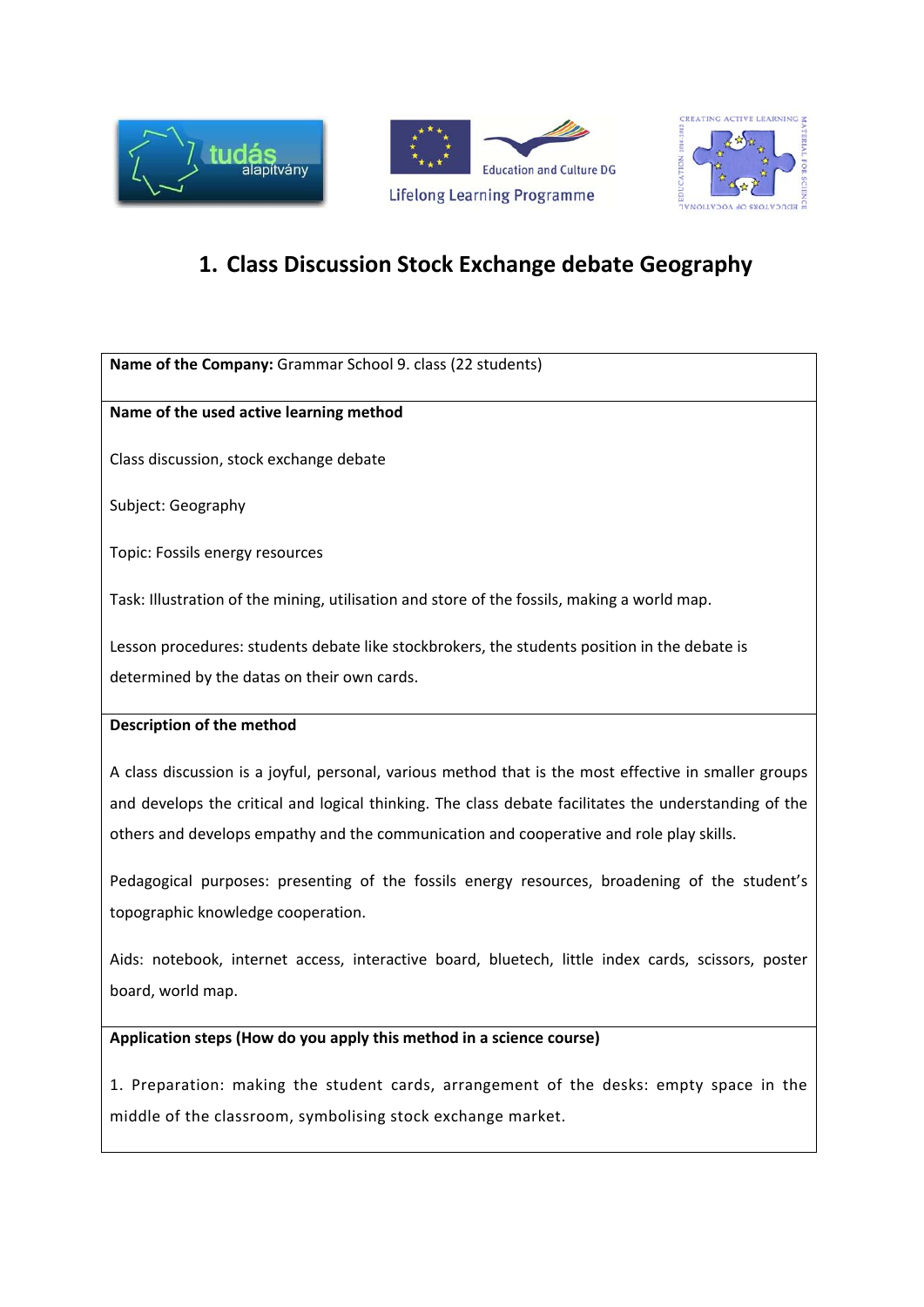





# **1. Class Discussion Stock Exchange debate Geography**

**Name of the Company:** Grammar School 9. class (22 students)

# **Name of the used active learning method**

Class discussion, stock exchange debate

Subject: Geography

Topic: Fossils energy resources

Task: Illustration of the mining, utilisation and store of the fossils, making a world map.

Lesson procedures: students debate like stockbrokers, the students position in the debate is determined by the datas on their own cards.

# **Description of the method**

A class discussion is a joyful, personal, various method that is the most effective in smaller groups and develops the critical and logical thinking. The class debate facilitates the understanding of the others and develops empathy and the communication and cooperative and role play skills.

Pedagogical purposes: presenting of the fossils energy resources, broadening of the student's topographic knowledge cooperation.

Aids: notebook, internet access, interactive board, bluetech, little index cards, scissors, poster board, world map.

# **Application steps (How do you apply this method in a science course)**

1. Preparation: making the student cards, arrangement of the desks: empty space in the middle of the classroom, symbolising stock exchange market.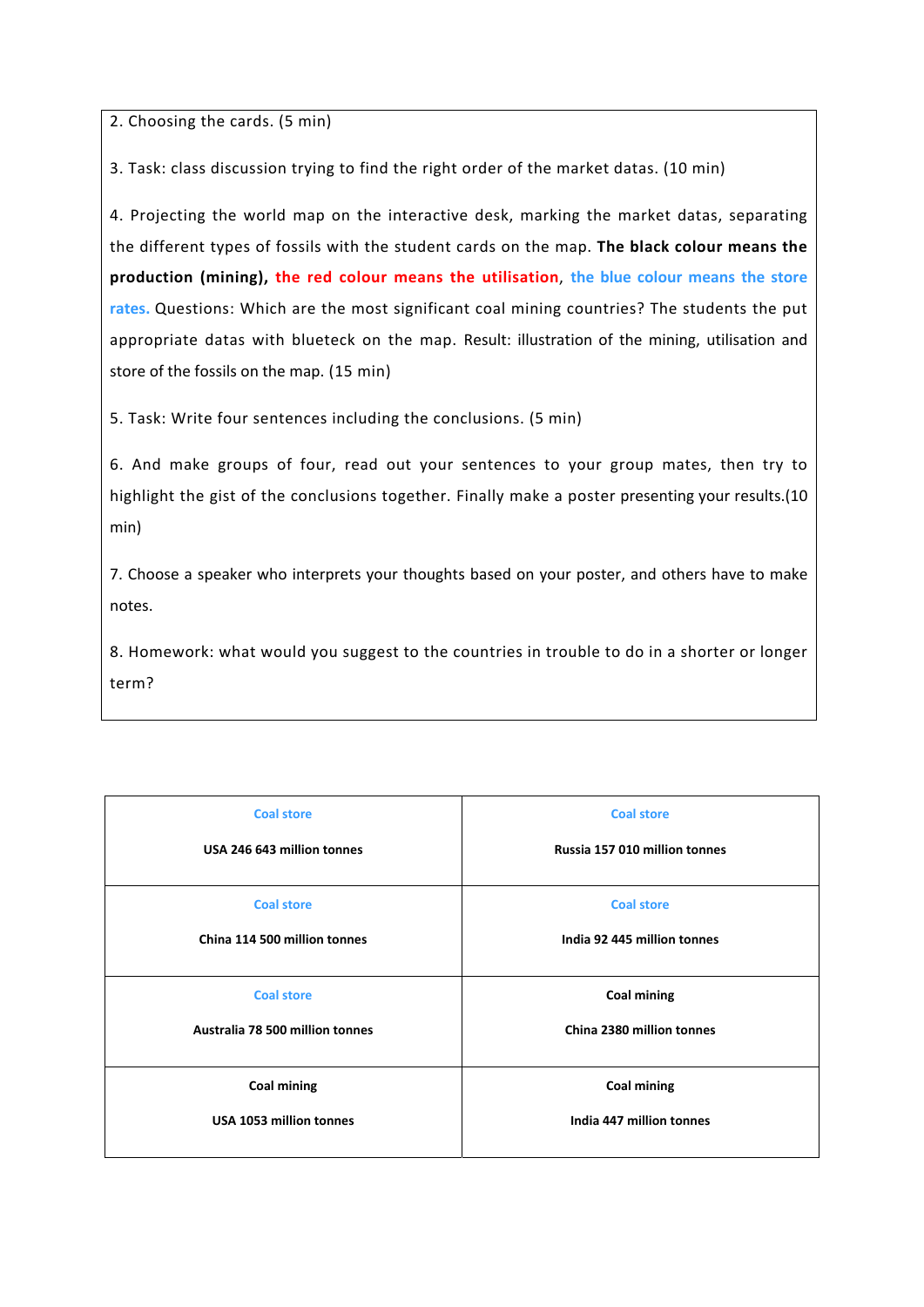2. Choosing the cards. (5 min)

3. Task: class discussion trying to find the right order of the market datas. (10 min)

4. Projecting the world map on the interactive desk, marking the market datas, separating the different types of fossils with the student cards on the map. **The black colour means the production (mining), the red colour means the utilisation**, **the blue colour means the store rates.** Questions: Which are the most significant coal mining countries? The students the put appropriate datas with blueteck on the map. Result: illustration of the mining, utilisation and store of the fossils on the map. (15 min)

5. Task: Write four sentences including the conclusions. (5 min)

6. And make groups of four, read out your sentences to your group mates, then try to highlight the gist of the conclusions together. Finally make a poster presenting your results.(10 min)

7. Choose a speaker who interprets your thoughts based on your poster, and others have to make notes.

8. Homework: what would you suggest to the countries in trouble to do in a shorter or longer term?

| <b>Coal store</b>               | <b>Coal store</b>             |
|---------------------------------|-------------------------------|
| USA 246 643 million tonnes      | Russia 157 010 million tonnes |
| <b>Coal store</b>               | <b>Coal store</b>             |
| China 114 500 million tonnes    | India 92 445 million tonnes   |
| <b>Coal store</b>               | <b>Coal mining</b>            |
| Australia 78 500 million tonnes | China 2380 million tonnes     |
| <b>Coal mining</b>              | <b>Coal mining</b>            |
| USA 1053 million tonnes         | India 447 million tonnes      |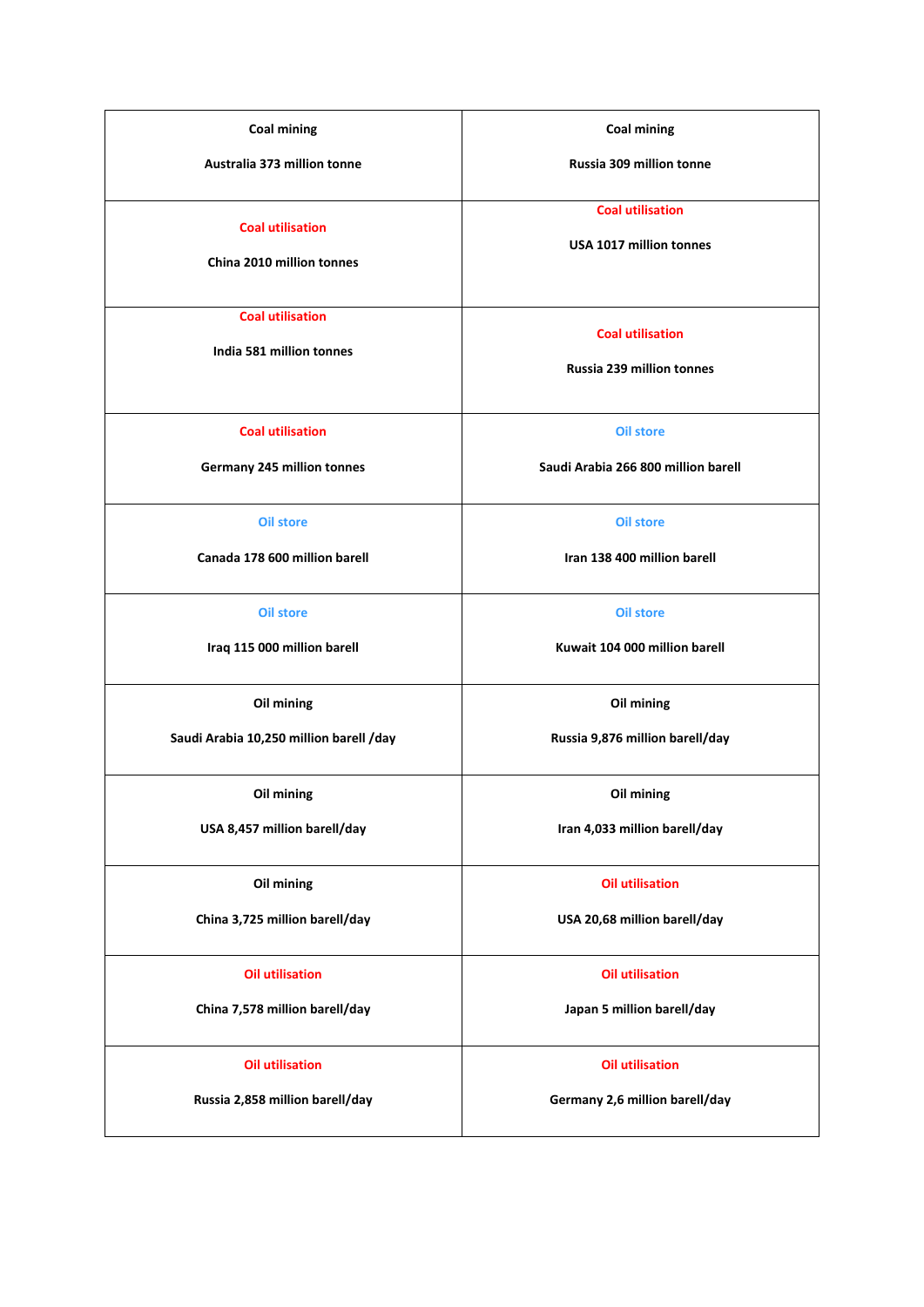| <b>Coal mining</b>                                        | <b>Coal mining</b>                                          |
|-----------------------------------------------------------|-------------------------------------------------------------|
| Australia 373 million tonne                               | <b>Russia 309 million tonne</b>                             |
| <b>Coal utilisation</b><br>China 2010 million tonnes      | <b>Coal utilisation</b><br>USA 1017 million tonnes          |
| <b>Coal utilisation</b><br>India 581 million tonnes       | <b>Coal utilisation</b><br><b>Russia 239 million tonnes</b> |
| <b>Coal utilisation</b>                                   | <b>Oil store</b>                                            |
| Germany 245 million tonnes                                | Saudi Arabia 266 800 million barell                         |
| <b>Oil store</b><br>Canada 178 600 million barell         | <b>Oil store</b><br>Iran 138 400 million barell             |
| <b>Oil store</b>                                          | <b>Oil store</b>                                            |
| Iraq 115 000 million barell                               | Kuwait 104 000 million barell                               |
| Oil mining<br>Saudi Arabia 10,250 million barell /day     | Oil mining<br>Russia 9,876 million barell/day               |
| Oil mining                                                | Oil mining                                                  |
| USA 8,457 million barell/day                              | Iran 4,033 million barell/day                               |
| Oil mining<br>China 3,725 million barell/day              | <b>Oil utilisation</b><br>USA 20,68 million barell/day      |
| <b>Oil utilisation</b>                                    | <b>Oil utilisation</b>                                      |
| China 7,578 million barell/day                            | Japan 5 million barell/day                                  |
| <b>Oil utilisation</b><br>Russia 2,858 million barell/day | <b>Oil utilisation</b><br>Germany 2,6 million barell/day    |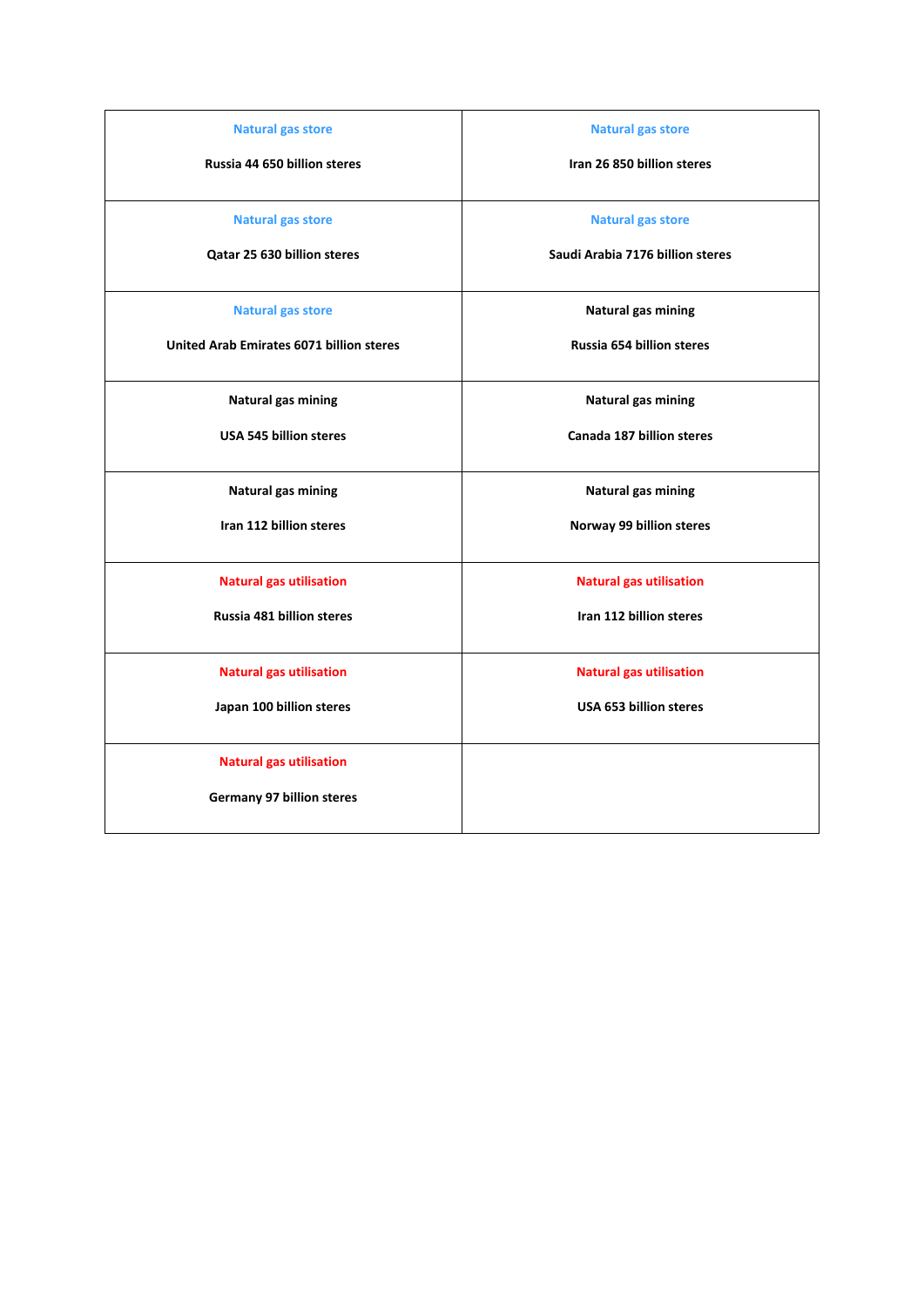| <b>Natural gas store</b>                        | <b>Natural gas store</b>         |
|-------------------------------------------------|----------------------------------|
| Russia 44 650 billion steres                    | Iran 26 850 billion steres       |
|                                                 |                                  |
| <b>Natural gas store</b>                        | <b>Natural gas store</b>         |
| Qatar 25 630 billion steres                     | Saudi Arabia 7176 billion steres |
|                                                 |                                  |
| <b>Natural gas store</b>                        | Natural gas mining               |
| <b>United Arab Emirates 6071 billion steres</b> | Russia 654 billion steres        |
|                                                 |                                  |
| Natural gas mining                              | Natural gas mining               |
| <b>USA 545 billion steres</b>                   | <b>Canada 187 billion steres</b> |
|                                                 |                                  |
| Natural gas mining                              | Natural gas mining               |
| Iran 112 billion steres                         | Norway 99 billion steres         |
|                                                 |                                  |
| <b>Natural gas utilisation</b>                  | <b>Natural gas utilisation</b>   |
| Russia 481 billion steres                       | Iran 112 billion steres          |
|                                                 |                                  |
| <b>Natural gas utilisation</b>                  | <b>Natural gas utilisation</b>   |
| Japan 100 billion steres                        | <b>USA 653 billion steres</b>    |
|                                                 |                                  |
| <b>Natural gas utilisation</b>                  |                                  |
| <b>Germany 97 billion steres</b>                |                                  |
|                                                 |                                  |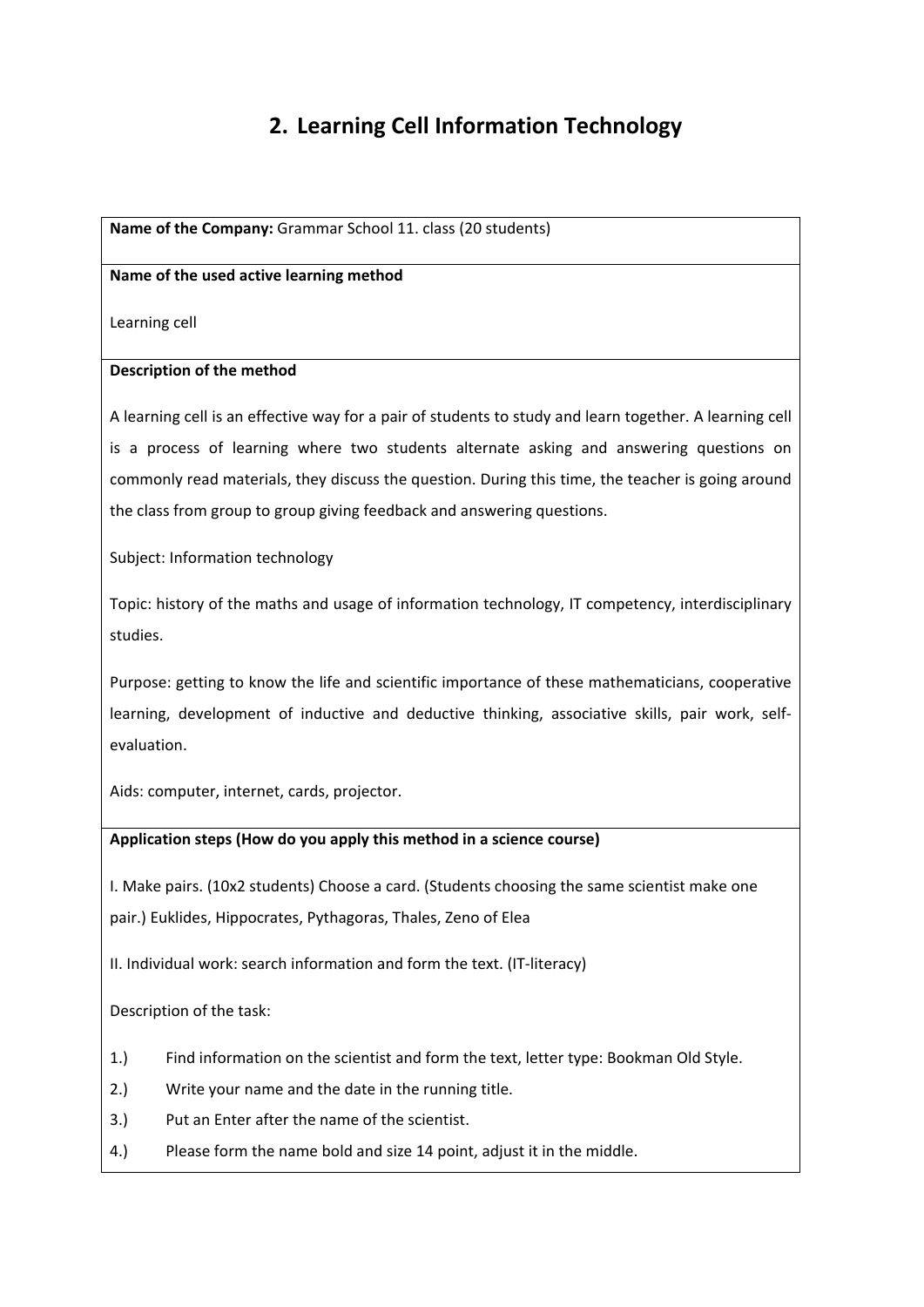# **2. Learning Cell Information Technology**

**Name of the Company:** Grammar School 11. class (20 students)

#### **Name of the used active learning method**

Learning cell

#### **Description of the method**

A learning cell is an effective way for a pair of students to study and learn together. A learning cell is a process of learning where two students alternate asking and answering questions on commonly read materials, they discuss the question. During this time, the teacher is going around the class from group to group giving feedback and answering questions.

Subject: Information technology

Topic: history of the maths and usage of information technology, IT competency, interdisciplinary studies.

Purpose: getting to know the life and scientific importance of these mathematicians, cooperative learning, development of inductive and deductive thinking, associative skills, pair work, selfevaluation.

Aids: computer, internet, cards, projector.

# **Application steps (How do you apply this method in a science course)**

I. Make pairs. (10x2 students) Choose a card. (Students choosing the same scientist make one pair.) Euklides, Hippocrates, Pythagoras, Thales, Zeno of Elea

II. Individual work: search information and form the text. (IT‐literacy)

Description of the task:

- 1.) Find information on the scientist and form the text, letter type: Bookman Old Style.
- 2.) Write your name and the date in the running title.
- 3.) Put an Enter after the name of the scientist.
- 4.) Please form the name bold and size 14 point, adjust it in the middle.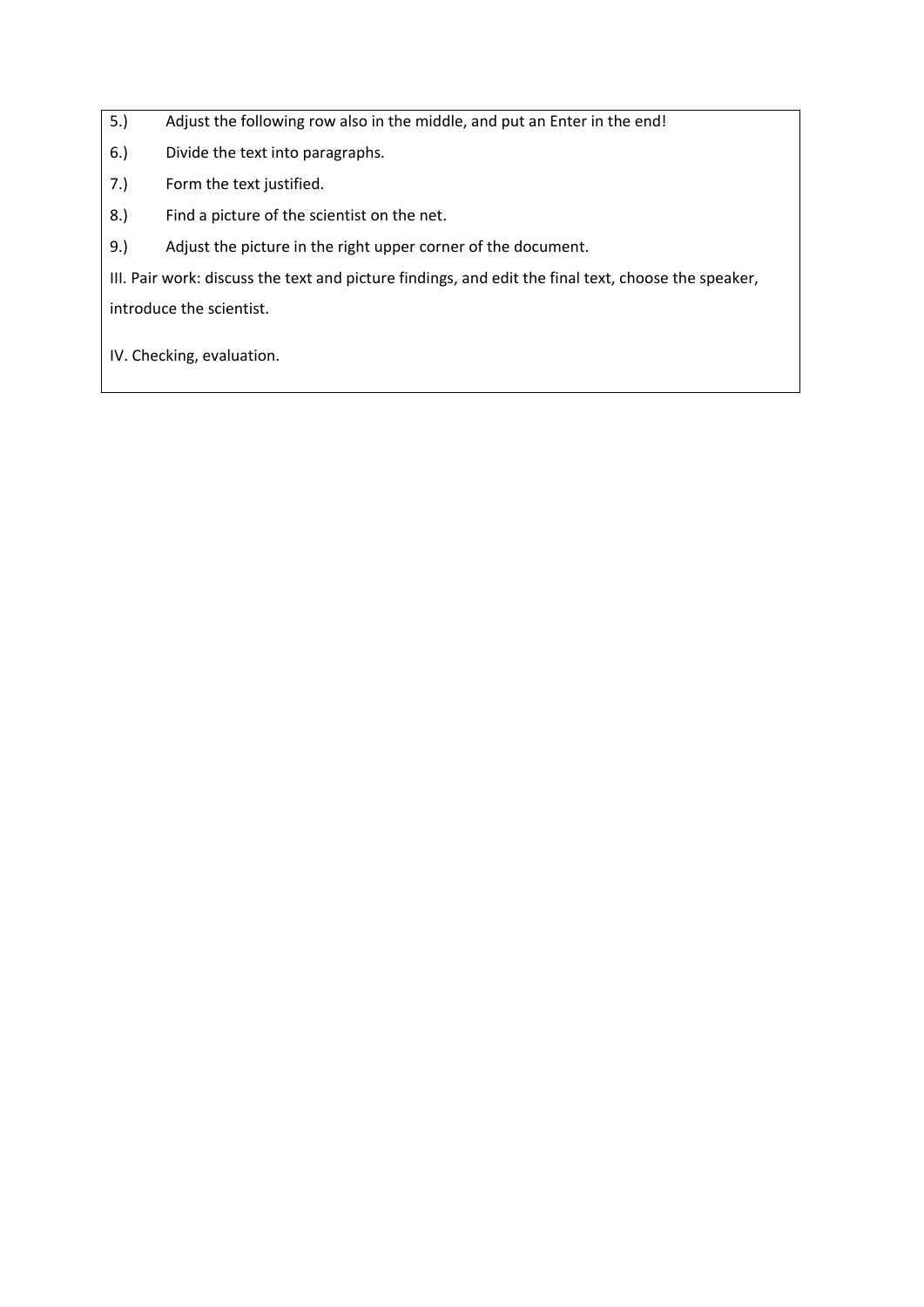5.) Adjust the following row also in the middle, and put an Enter in the end!

6.) Divide the text into paragraphs.

7.) Form the text justified.

8.) Find a picture of the scientist on the net.

9.) Adjust the picture in the right upper corner of the document.

III. Pair work: discuss the text and picture findings, and edit the final text, choose the speaker,

introduce the scientist.

IV. Checking, evaluation.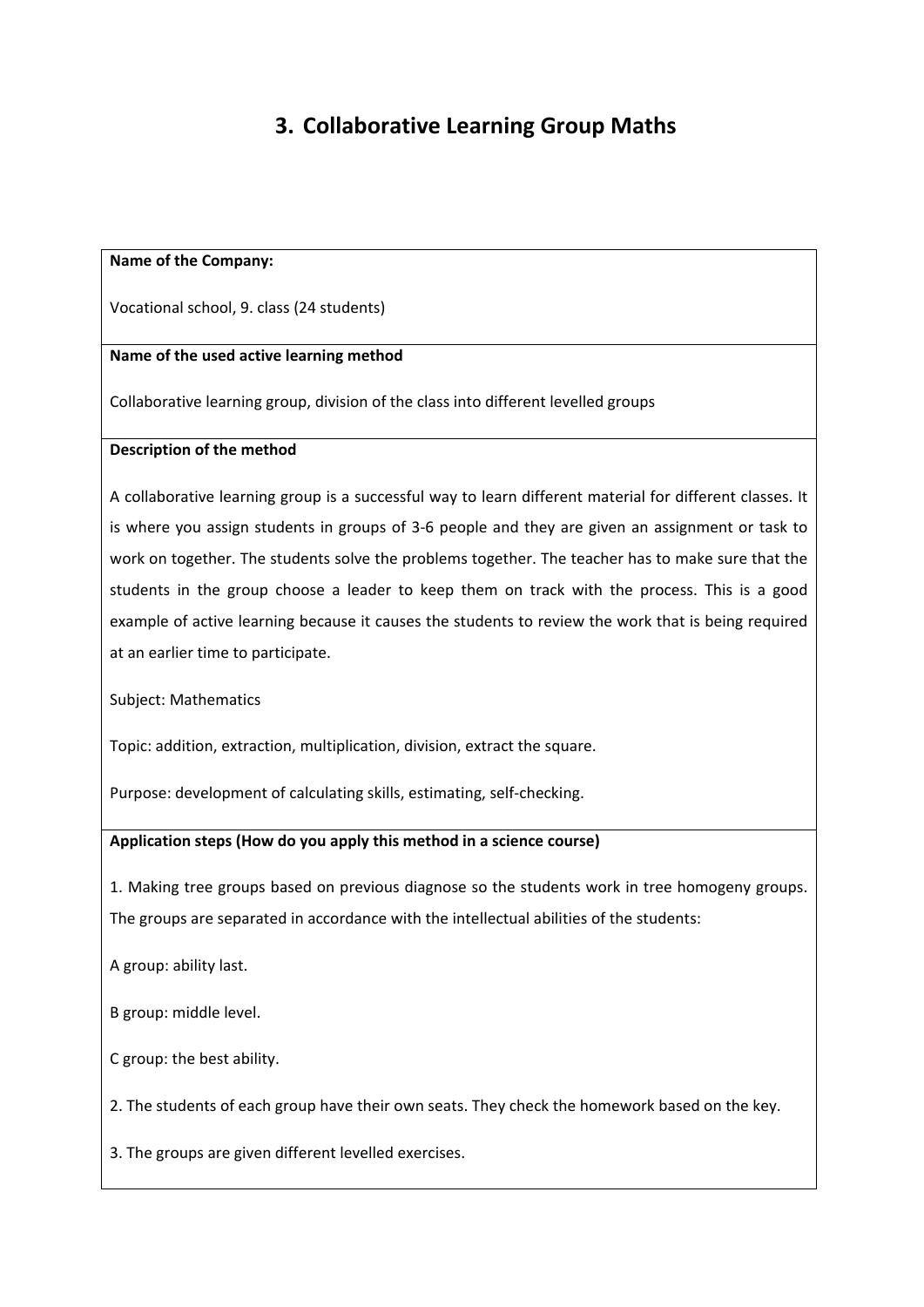# **3. Collaborative Learning Group Maths**

#### **Name of the Company:**

Vocational school, 9. class (24 students)

#### **Name of the used active learning method**

Collaborative learning group, division of the class into different levelled groups

#### **Description of the method**

A collaborative learning group is a successful way to learn different material for different classes. It is where you assign students in groups of 3‐6 people and they are given an assignment or task to work on together. The students solve the problems together. The teacher has to make sure that the students in the group choose a leader to keep them on track with the process. This is a good example of active learning because it causes the students to review the work that is being required at an earlier time to participate.

Subject: Mathematics

Topic: addition, extraction, multiplication, division, extract the square.

Purpose: development of calculating skills, estimating, self‐checking.

#### **Application steps (How do you apply this method in a science course)**

1. Making tree groups based on previous diagnose so the students work in tree homogeny groups. The groups are separated in accordance with the intellectual abilities of the students:

A group: ability last.

B group: middle level.

C group: the best ability.

2. The students of each group have their own seats. They check the homework based on the key.

3. The groups are given different levelled exercises.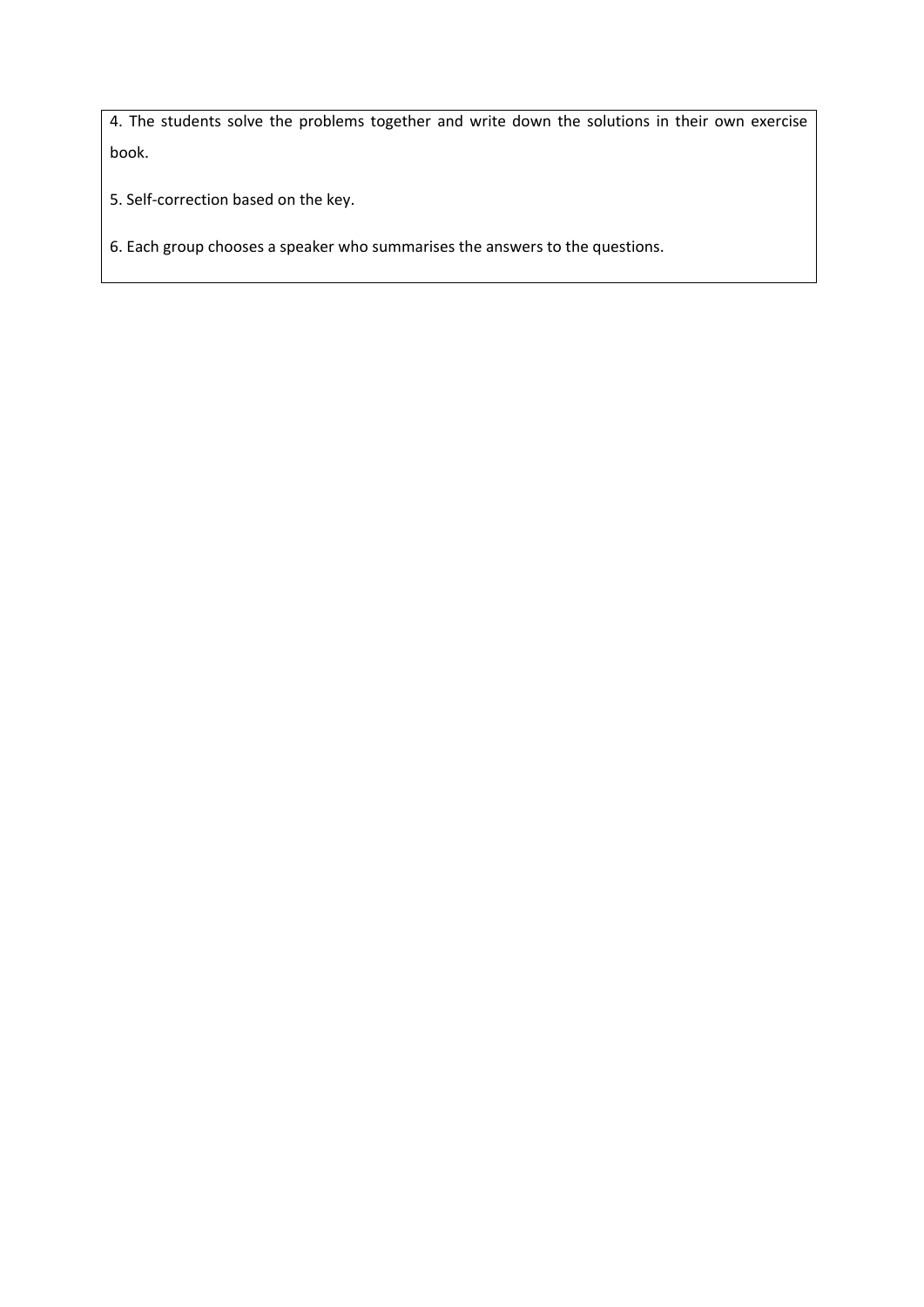4. The students solve the problems together and write down the solutions in their own exercise book.

5. Self‐correction based on the key.

6. Each group chooses a speaker who summarises the answers to the questions.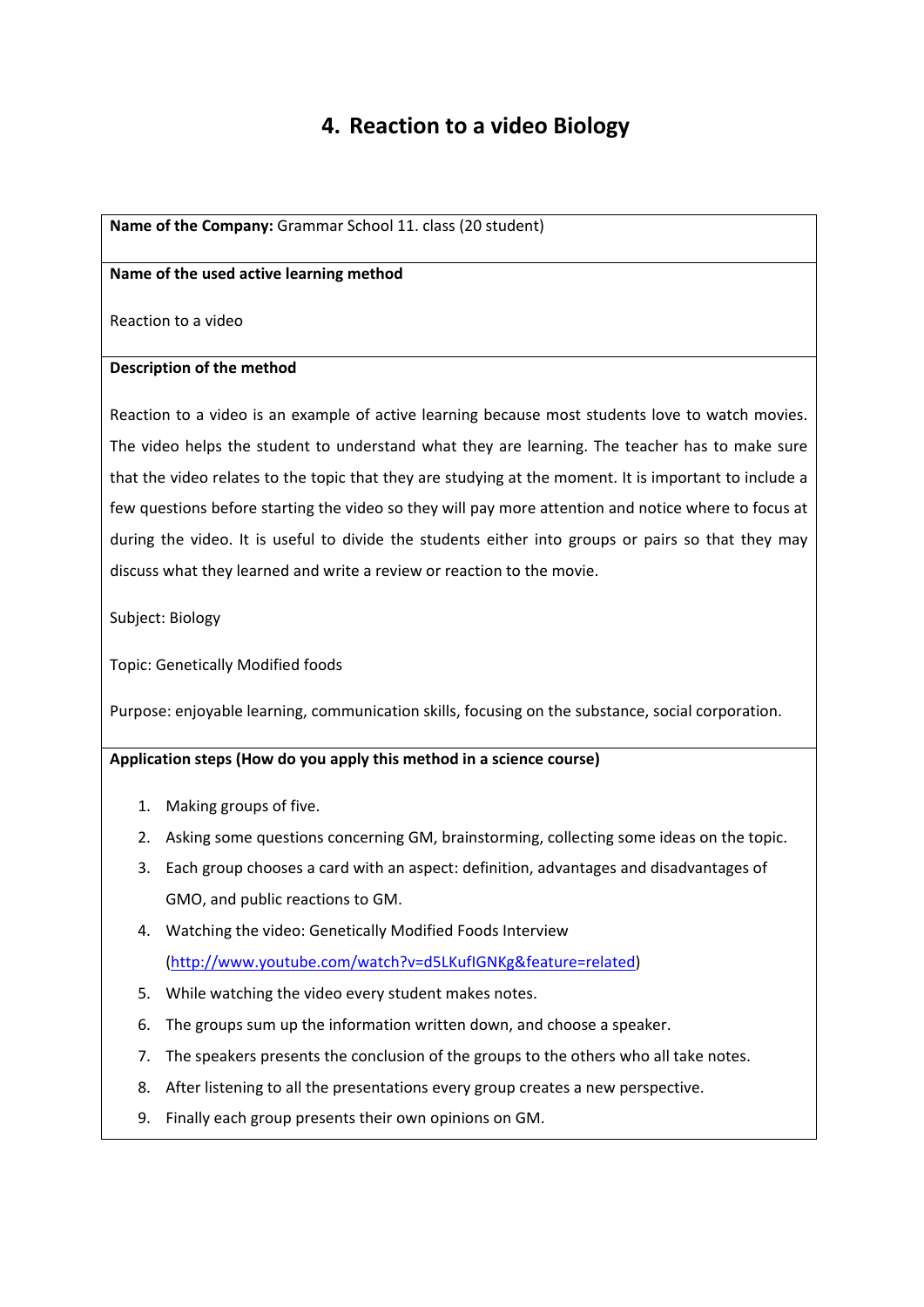# **4. Reaction to a video Biology**

#### **Name of the Company:** Grammar School 11. class (20 student)

#### **Name of the used active learning method**

Reaction to a video

#### **Description of the method**

Reaction to a video is an example of active learning because most students love to watch movies. The video helps the student to understand what they are learning. The teacher has to make sure that the video relates to the topic that they are studying at the moment. It is important to include a few questions before starting the video so they will pay more attention and notice where to focus at during the video. It is useful to divide the students either into groups or pairs so that they may discuss what they learned and write a review or reaction to the movie.

Subject: Biology

Topic: Genetically Modified foods

Purpose: enjoyable learning, communication skills, focusing on the substance, social corporation.

#### **Application steps (How do you apply this method in a science course)**

- 1. Making groups of five.
- 2. Asking some questions concerning GM, brainstorming, collecting some ideas on the topic.
- 3. Each group chooses a card with an aspect: definition, advantages and disadvantages of GMO, and public reactions to GM.
- 4. Watching the video: Genetically Modified Foods Interview (http://www.youtube.com/watch?v=d5LKufIGNKg&feature=related)
- 5. While watching the video every student makes notes.
- 6. The groups sum up the information written down, and choose a speaker.
- 7. The speakers presents the conclusion of the groups to the others who all take notes.
- 8. After listening to all the presentations every group creates a new perspective.
- 9. Finally each group presents their own opinions on GM.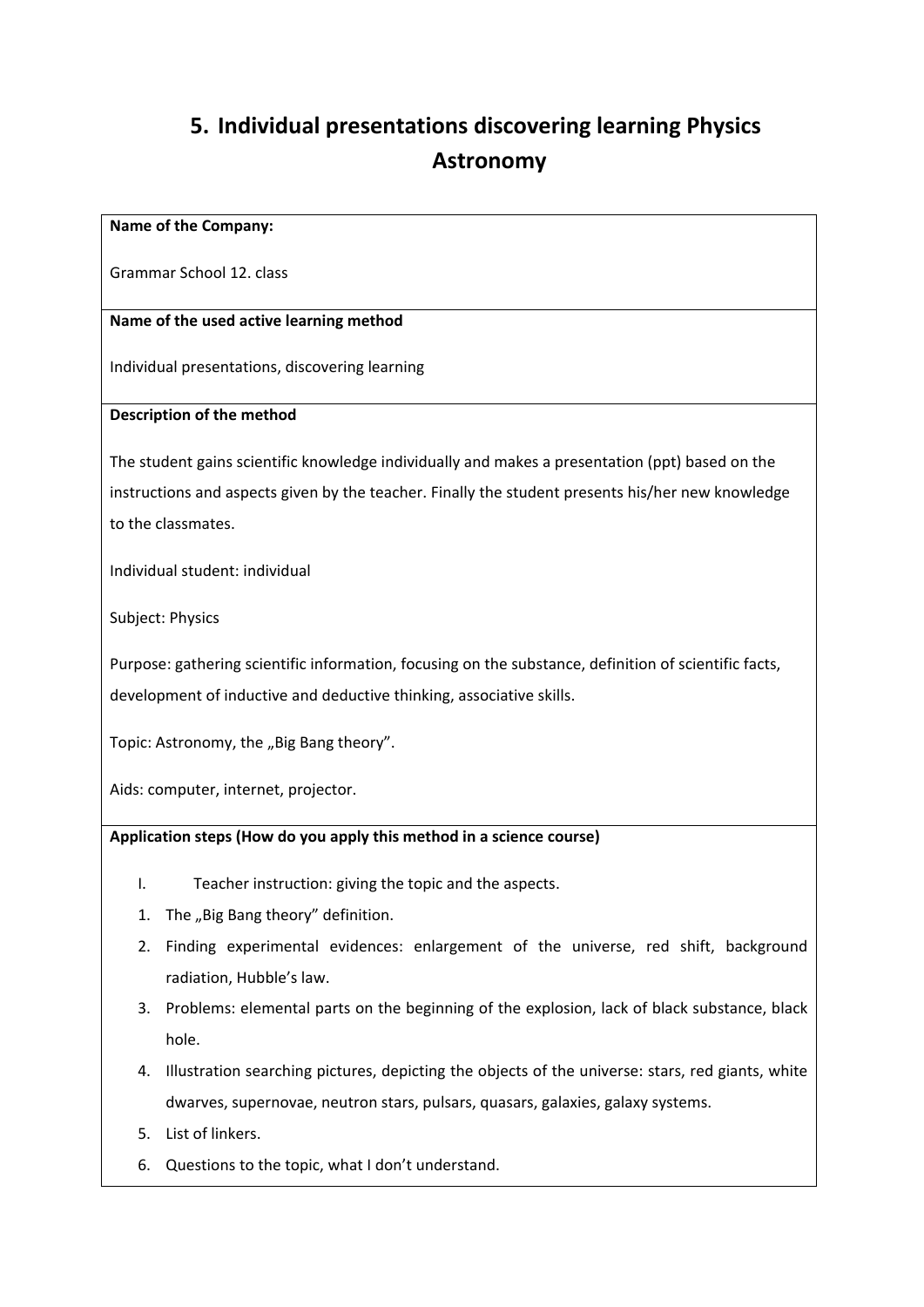# **5. Individual presentations discovering learning Physics Astronomy**

#### **Name of the Company:**

Grammar School 12. class

# **Name of the used active learning method**

Individual presentations, discovering learning

# **Description of the method**

The student gains scientific knowledge individually and makes a presentation (ppt) based on the instructions and aspects given by the teacher. Finally the student presents his/her new knowledge to the classmates.

Individual student: individual

Subject: Physics

Purpose: gathering scientific information, focusing on the substance, definition of scientific facts, development of inductive and deductive thinking, associative skills.

Topic: Astronomy, the "Big Bang theory".

Aids: computer, internet, projector.

# **Application steps (How do you apply this method in a science course)**

- I. Teacher instruction: giving the topic and the aspects.
- 1. The "Big Bang theory" definition.
- 2. Finding experimental evidences: enlargement of the universe, red shift, background radiation, Hubble's law.
- 3. Problems: elemental parts on the beginning of the explosion, lack of black substance, black hole.
- 4. Illustration searching pictures, depicting the objects of the universe: stars, red giants, white dwarves, supernovae, neutron stars, pulsars, quasars, galaxies, galaxy systems.
- 5. List of linkers.
- 6. Questions to the topic, what I don't understand.